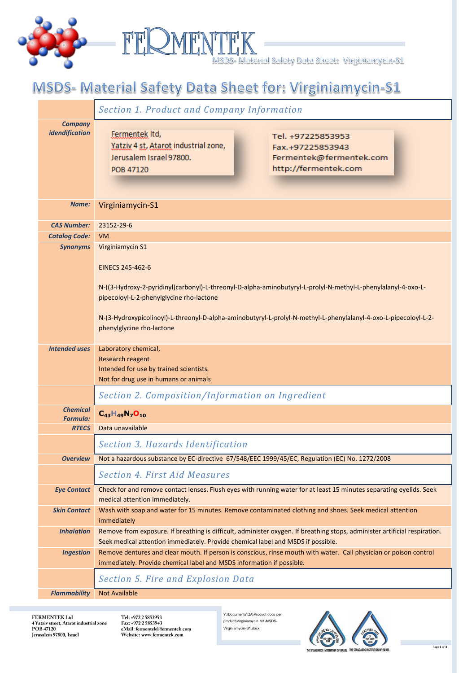



## MSDS- Material Safety Data Sheet for: Virginiamycin-S1

|                                    | <b>Section 1. Product and Company Information</b>                                                                                                                                                                                                                                                                              |
|------------------------------------|--------------------------------------------------------------------------------------------------------------------------------------------------------------------------------------------------------------------------------------------------------------------------------------------------------------------------------|
| <b>Company</b><br>idendification   | Fermentek Itd,<br>Tel. +97225853953<br>Yatziv 4 st, Atarot industrial zone,<br>Fax.+97225853943<br>Jerusalem Israel 97800.<br>Fermentek@fermentek.com<br>http://fermentek.com<br>POB 47120                                                                                                                                     |
| Name:                              | Virginiamycin-S1                                                                                                                                                                                                                                                                                                               |
| <b>CAS Number:</b>                 | 23152-29-6                                                                                                                                                                                                                                                                                                                     |
| <b>Catalog Code:</b>               | <b>VM</b>                                                                                                                                                                                                                                                                                                                      |
| <b>Synonyms</b>                    | Virginiamycin S1                                                                                                                                                                                                                                                                                                               |
|                                    | EINECS 245-462-6<br>N-((3-Hydroxy-2-pyridinyl)carbonyl)-L-threonyl-D-alpha-aminobutyryl-L-prolyl-N-methyl-L-phenylalanyl-4-oxo-L-<br>pipecoloyl-L-2-phenylglycine rho-lactone<br>N-(3-Hydroxypicolinoyl)-L-threonyl-D-alpha-aminobutyryl-L-prolyl-N-methyl-L-phenylalanyl-4-oxo-L-pipecoloyl-L-2-<br>phenylglycine rho-lactone |
| <b>Intended uses</b>               | Laboratory chemical,                                                                                                                                                                                                                                                                                                           |
|                                    | Research reagent                                                                                                                                                                                                                                                                                                               |
|                                    | Intended for use by trained scientists.<br>Not for drug use in humans or animals                                                                                                                                                                                                                                               |
|                                    |                                                                                                                                                                                                                                                                                                                                |
|                                    | Section 2. Composition/Information on Ingredient                                                                                                                                                                                                                                                                               |
| <b>Chemical</b><br><b>Formula:</b> | $C_{43}H_{49}N_7O_{10}$                                                                                                                                                                                                                                                                                                        |
| <b>RTECS</b>                       | Data unavailable                                                                                                                                                                                                                                                                                                               |
|                                    | Section 3. Hazards Identification                                                                                                                                                                                                                                                                                              |
| Overview                           | Not a hazardous substance by EC-directive 67/548/EEC 1999/45/EC, Regulation (EC) No. 1272/2008                                                                                                                                                                                                                                 |
|                                    | <b>Section 4. First Aid Measures</b>                                                                                                                                                                                                                                                                                           |
| <b>Eye Contact</b>                 | Check for and remove contact lenses. Flush eyes with running water for at least 15 minutes separating eyelids. Seek                                                                                                                                                                                                            |
|                                    | medical attention immediately.                                                                                                                                                                                                                                                                                                 |
| <b>Skin Contact</b>                | Wash with soap and water for 15 minutes. Remove contaminated clothing and shoes. Seek medical attention                                                                                                                                                                                                                        |
|                                    | immediately                                                                                                                                                                                                                                                                                                                    |
| <b>Inhalation</b>                  | Remove from exposure. If breathing is difficult, administer oxygen. If breathing stops, administer artificial respiration.<br>Seek medical attention immediately. Provide chemical label and MSDS if possible.                                                                                                                 |
| <b>Ingestion</b>                   | Remove dentures and clear mouth. If person is conscious, rinse mouth with water. Call physician or poison control                                                                                                                                                                                                              |
|                                    | immediately. Provide chemical label and MSDS information if possible.                                                                                                                                                                                                                                                          |
|                                    | Section 5. Fire and Explosion Data                                                                                                                                                                                                                                                                                             |
| <b>Flammability</b>                | <b>Not Available</b>                                                                                                                                                                                                                                                                                                           |

FERMENTEK Ltd 4 Yatziv street, Atarot industrial zone<br>POB 47120<br>Jerusalem 97800, Israel Tel: +972 2 5853953 Fax: +972 2 5853943<br>eMail: fermentek@fermentek.com Website: www.fermentek.com

Y:\Documents\QA\Product docs per product\Virginiamycin M1\MSDS-Virginiamycin-S1.docx



Page **1** of **3**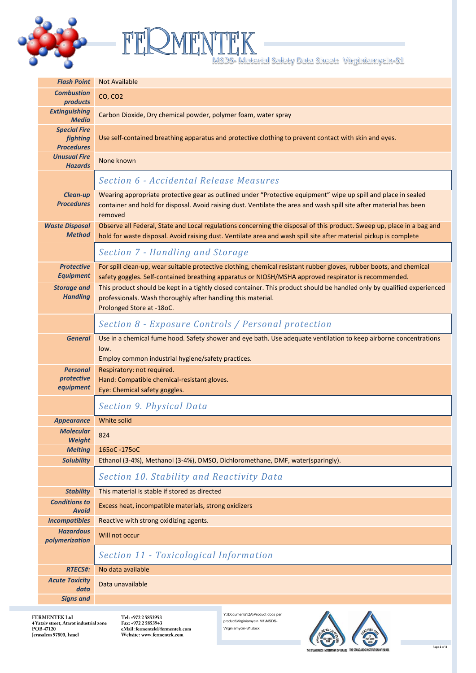



| <b>Flash Point</b>                                          | <b>Not Available</b>                                                                                                                                                                                                                             |
|-------------------------------------------------------------|--------------------------------------------------------------------------------------------------------------------------------------------------------------------------------------------------------------------------------------------------|
| <b>Combustion</b><br>products                               | CO, CO <sub>2</sub>                                                                                                                                                                                                                              |
| <b>Extinguishing</b><br><b>Media</b>                        | Carbon Dioxide, Dry chemical powder, polymer foam, water spray                                                                                                                                                                                   |
| <b>Special Fire</b><br><b>fighting</b><br><b>Procedures</b> | Use self-contained breathing apparatus and protective clothing to prevent contact with skin and eyes.                                                                                                                                            |
| <b>Unusual Fire</b><br><b>Hazards</b>                       | None known                                                                                                                                                                                                                                       |
|                                                             | <b>Section 6 - Accidental Release Measures</b>                                                                                                                                                                                                   |
| <b>Clean-up</b><br><b>Procedures</b>                        | Wearing appropriate protective gear as outlined under "Protective equipment" wipe up spill and place in sealed<br>container and hold for disposal. Avoid raising dust. Ventilate the area and wash spill site after material has been<br>removed |
| <b>Waste Disposal</b><br><b>Method</b>                      | Observe all Federal, State and Local regulations concerning the disposal of this product. Sweep up, place in a bag and<br>hold for waste disposal. Avoid raising dust. Ventilate area and wash spill site after material pickup is complete      |
|                                                             | Section 7 - Handling and Storage                                                                                                                                                                                                                 |
| <b>Protective</b><br><b>Equipment</b>                       | For spill clean-up, wear suitable protective clothing, chemical resistant rubber gloves, rubber boots, and chemical<br>safety goggles. Self-contained breathing apparatus or NIOSH/MSHA approved respirator is recommended.                      |
| <b>Storage and</b><br><b>Handling</b>                       | This product should be kept in a tightly closed container. This product should be handled only by qualified experienced<br>professionals. Wash thoroughly after handling this material.<br>Prolonged Store at -18oC.                             |
|                                                             | Section 8 - Exposure Controls / Personal protection                                                                                                                                                                                              |
| <b>General</b>                                              | Use in a chemical fume hood. Safety shower and eye bath. Use adequate ventilation to keep airborne concentrations<br>low.<br>Employ common industrial hygiene/safety practices.                                                                  |
| <b>Personal</b><br>protective<br>equipment                  | Respiratory: not required.<br>Hand: Compatible chemical-resistant gloves.<br>Eye: Chemical safety goggles.                                                                                                                                       |
|                                                             | <b>Section 9. Physical Data</b>                                                                                                                                                                                                                  |
| <b>Appearance</b>                                           | White solid                                                                                                                                                                                                                                      |
| <b>Molecular</b><br><b>Weight</b>                           | 824                                                                                                                                                                                                                                              |
| <b>Melting</b>                                              | 165oC-175oC                                                                                                                                                                                                                                      |
| <b>Solubility</b>                                           | Ethanol (3-4%), Methanol (3-4%), DMSO, Dichloromethane, DMF, water(sparingly).                                                                                                                                                                   |
|                                                             | Section 10. Stability and Reactivity Data                                                                                                                                                                                                        |
| <b>Stability</b>                                            | This material is stable if stored as directed                                                                                                                                                                                                    |
| <b>Conditions to</b><br><b>Avoid</b>                        | Excess heat, incompatible materials, strong oxidizers                                                                                                                                                                                            |
| <b>Incompatibles</b>                                        | Reactive with strong oxidizing agents.                                                                                                                                                                                                           |
| <b>Hazardous</b><br>polymerization                          | Will not occur                                                                                                                                                                                                                                   |
|                                                             | Section 11 - Toxicological Information                                                                                                                                                                                                           |
| <b>RTECS#:</b>                                              | No data available                                                                                                                                                                                                                                |
| <b>Acute Toxicity</b><br>data                               | Data unavailable                                                                                                                                                                                                                                 |
| <b>Signs and</b>                                            |                                                                                                                                                                                                                                                  |

FERMENTEK Ltd<br>4 Yatziv street, Atarot industrial zone<br>POB 47120<br>Jerusalem 97800, Israel

Tel: +972 2 5853953<br>Fax: +972 2 5853943<br>eMail: fermentek@fermentek.com<br>Website: www.fermentek.com

Y:\Documents\QA\Product docs per product\Virginiamycin M1\MSDS-Virginiamycin-S1.docx